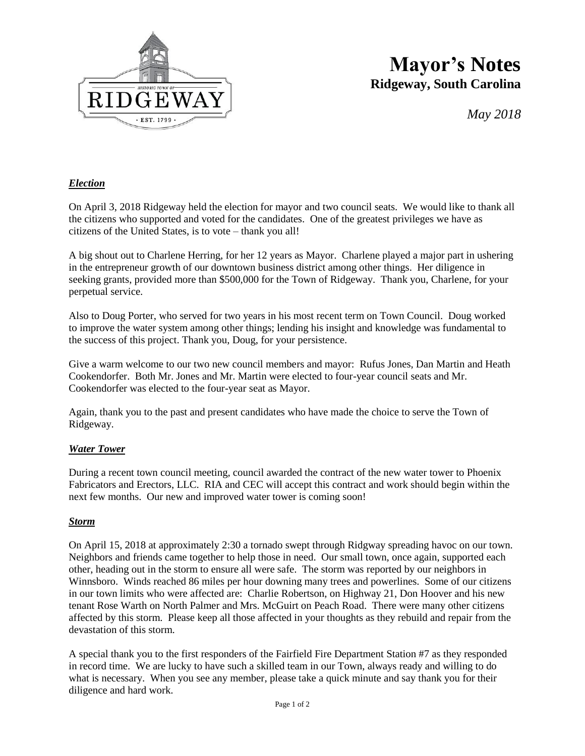

## **Mayor's Notes Ridgeway, South Carolina**

*May 2018*

#### *Election*

On April 3, 2018 Ridgeway held the election for mayor and two council seats. We would like to thank all the citizens who supported and voted for the candidates. One of the greatest privileges we have as citizens of the United States, is to vote – thank you all!

A big shout out to Charlene Herring, for her 12 years as Mayor. Charlene played a major part in ushering in the entrepreneur growth of our downtown business district among other things. Her diligence in seeking grants, provided more than \$500,000 for the Town of Ridgeway. Thank you, Charlene, for your perpetual service.

Also to Doug Porter, who served for two years in his most recent term on Town Council. Doug worked to improve the water system among other things; lending his insight and knowledge was fundamental to the success of this project. Thank you, Doug, for your persistence.

Give a warm welcome to our two new council members and mayor: Rufus Jones, Dan Martin and Heath Cookendorfer. Both Mr. Jones and Mr. Martin were elected to four-year council seats and Mr. Cookendorfer was elected to the four-year seat as Mayor.

Again, thank you to the past and present candidates who have made the choice to serve the Town of Ridgeway.

#### *Water Tower*

During a recent town council meeting, council awarded the contract of the new water tower to Phoenix Fabricators and Erectors, LLC. RIA and CEC will accept this contract and work should begin within the next few months. Our new and improved water tower is coming soon!

#### *Storm*

On April 15, 2018 at approximately 2:30 a tornado swept through Ridgway spreading havoc on our town. Neighbors and friends came together to help those in need. Our small town, once again, supported each other, heading out in the storm to ensure all were safe. The storm was reported by our neighbors in Winnsboro. Winds reached 86 miles per hour downing many trees and powerlines. Some of our citizens in our town limits who were affected are: Charlie Robertson, on Highway 21, Don Hoover and his new tenant Rose Warth on North Palmer and Mrs. McGuirt on Peach Road. There were many other citizens affected by this storm. Please keep all those affected in your thoughts as they rebuild and repair from the devastation of this storm.

A special thank you to the first responders of the Fairfield Fire Department Station #7 as they responded in record time. We are lucky to have such a skilled team in our Town, always ready and willing to do what is necessary. When you see any member, please take a quick minute and say thank you for their diligence and hard work.